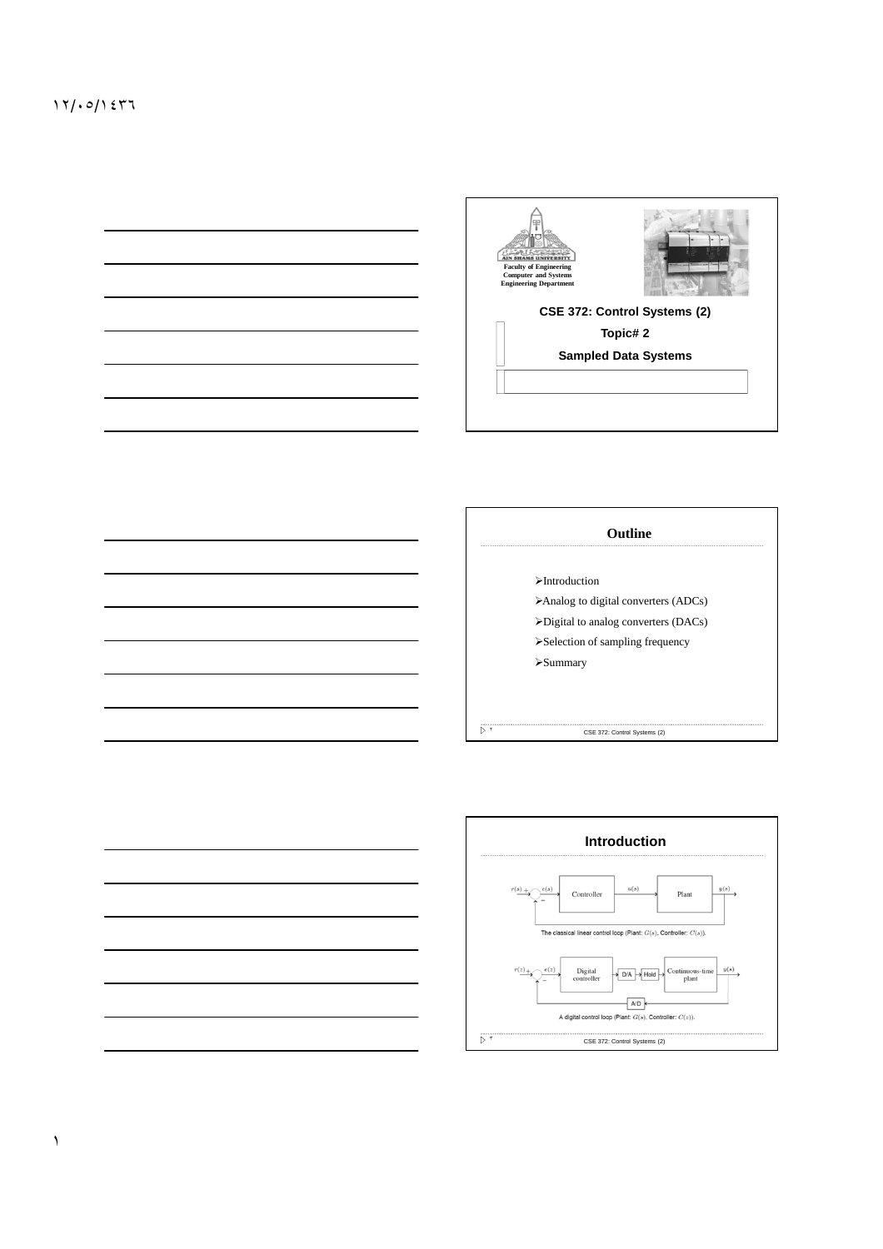



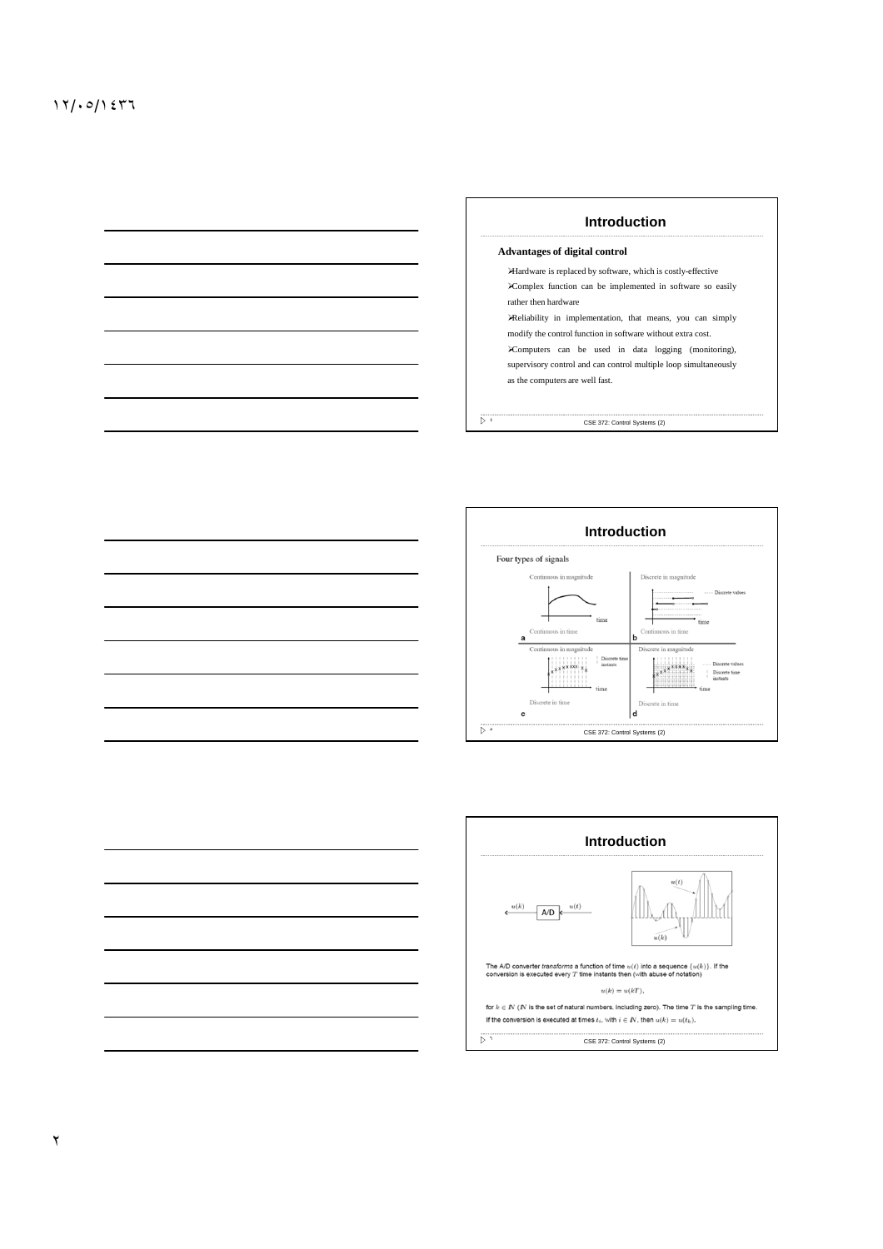| Introduction                                                     |  |  |  |
|------------------------------------------------------------------|--|--|--|
| <b>Advantages of digital control</b>                             |  |  |  |
| Hardware is replaced by software, which is costly-effective      |  |  |  |
| Complex function can be implemented in software so easily        |  |  |  |
| rather then hardware                                             |  |  |  |
| Reliability in implementation, that means, you can simply        |  |  |  |
| modify the control function in software without extra cost.      |  |  |  |
| Computers can be used in data logging (monitoring),              |  |  |  |
| supervisory control and can control multiple loop simultaneously |  |  |  |
| as the computers are well fast.                                  |  |  |  |
|                                                                  |  |  |  |
|                                                                  |  |  |  |





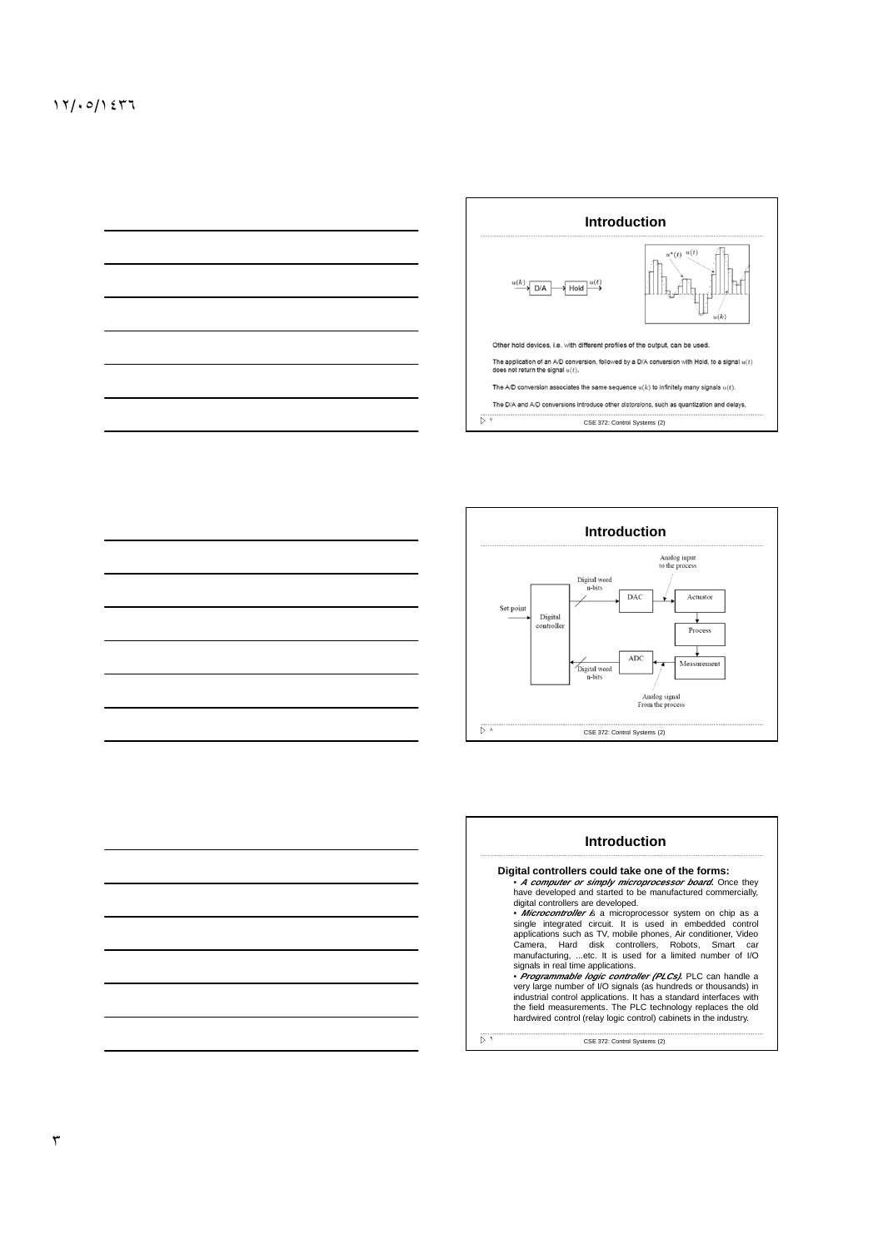



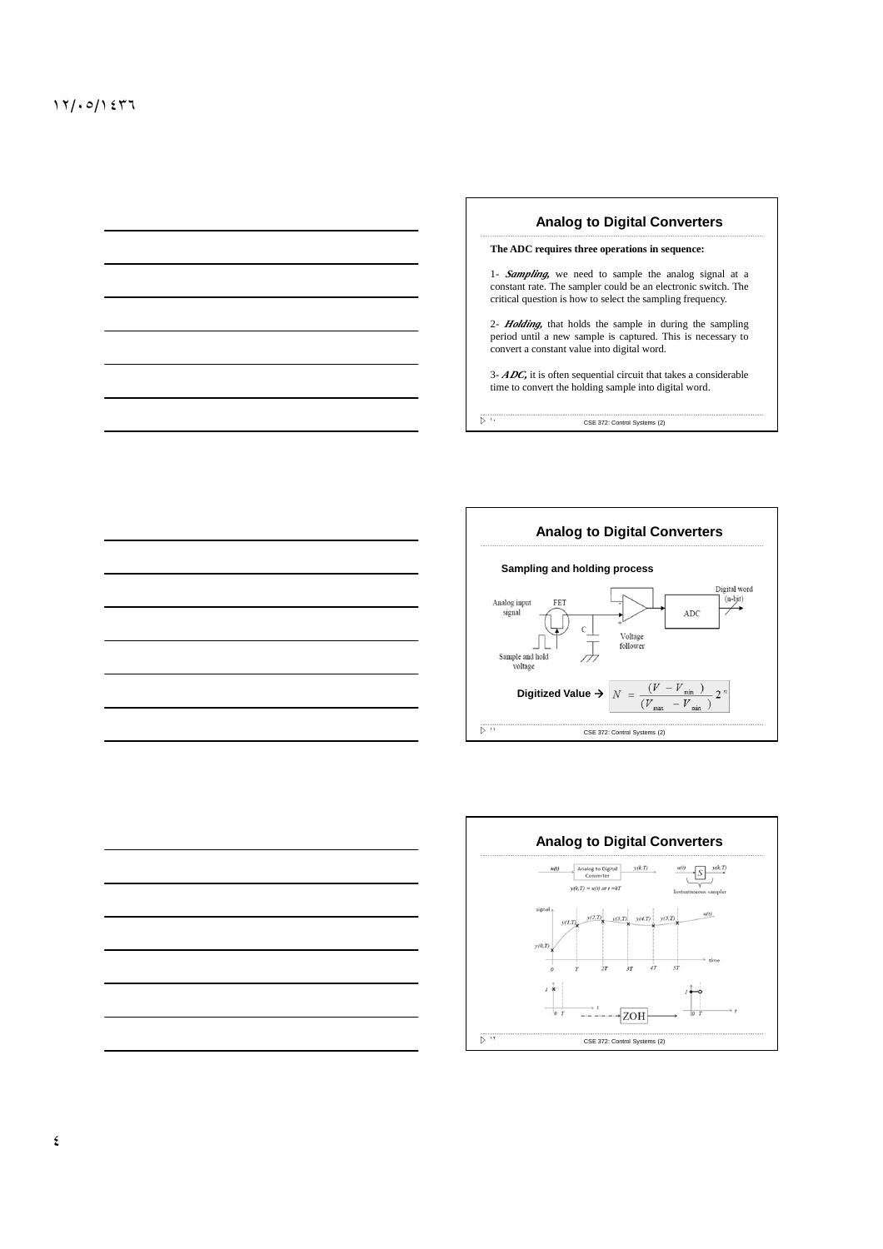







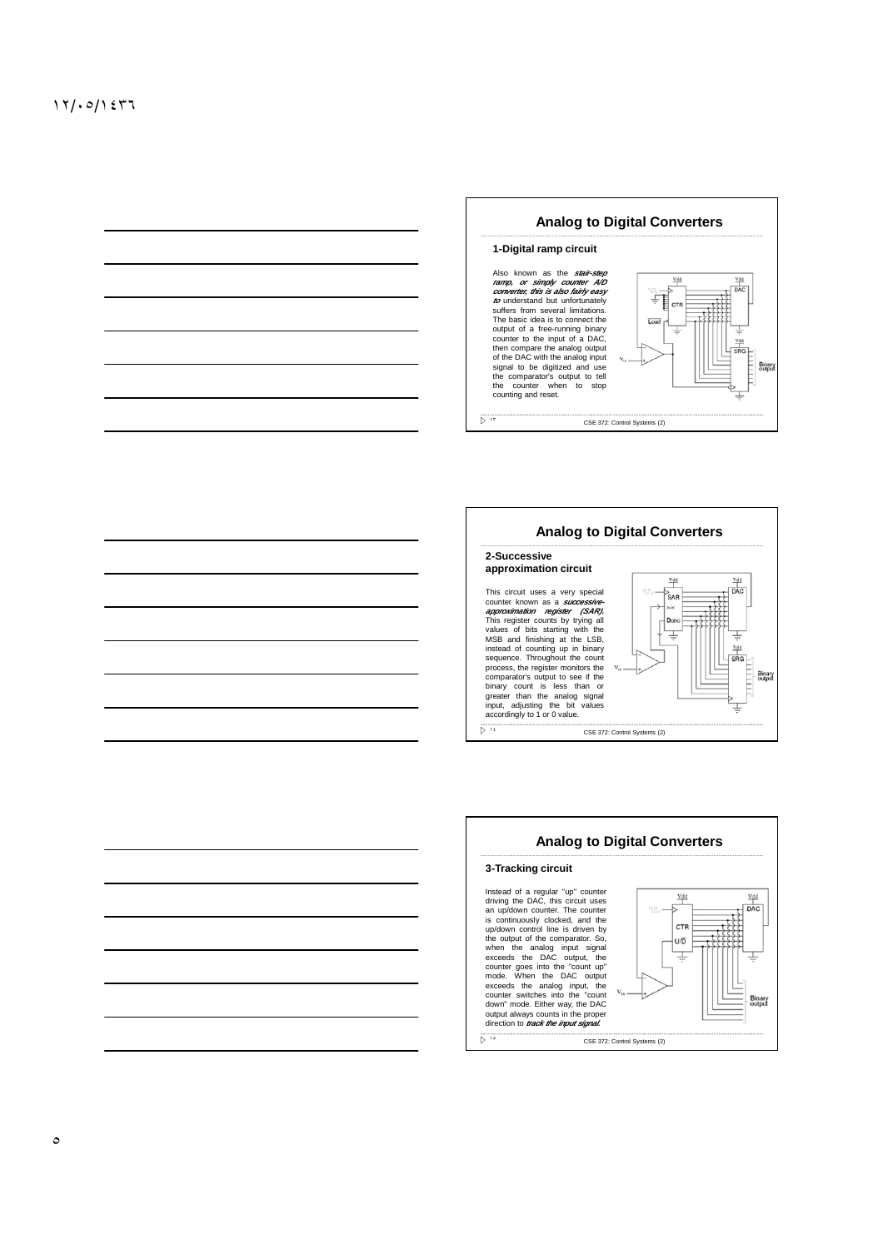





٥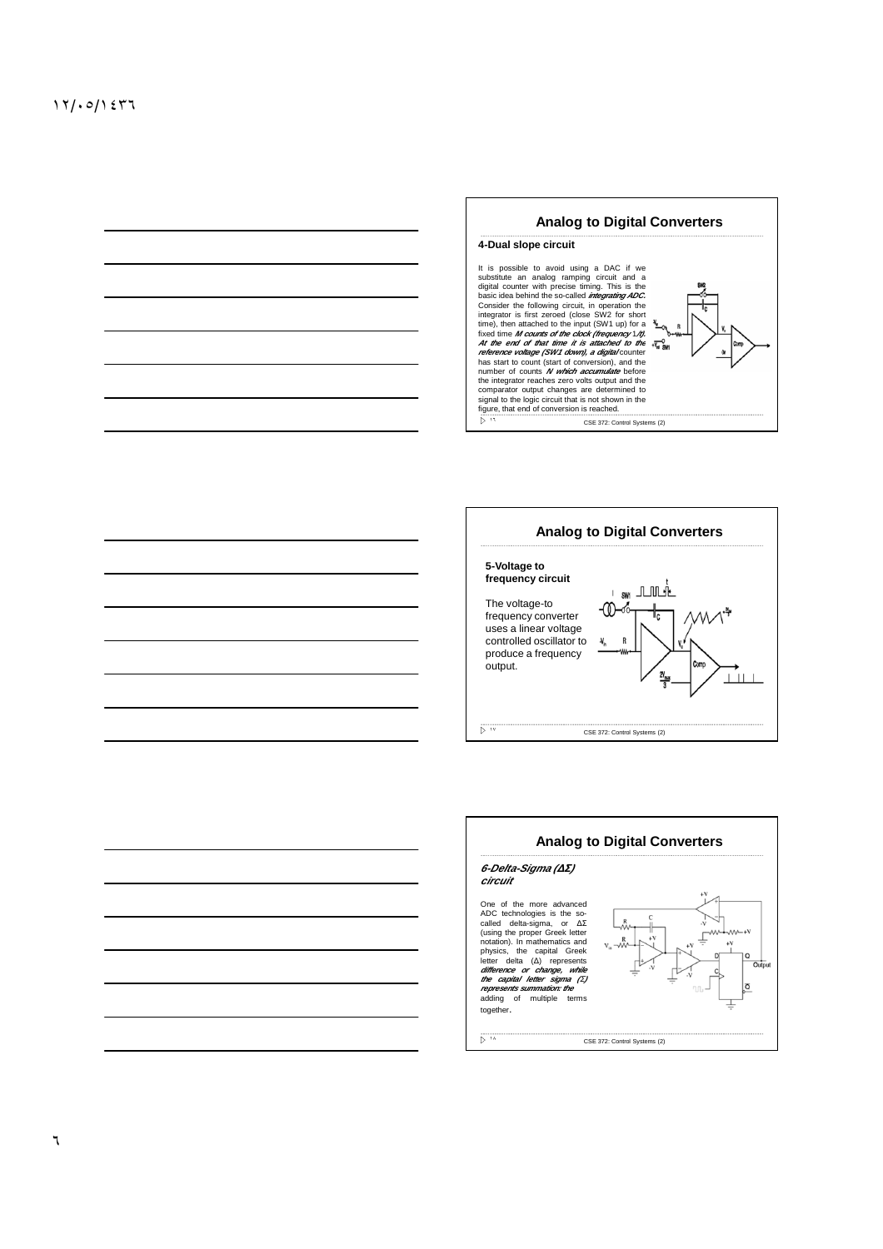



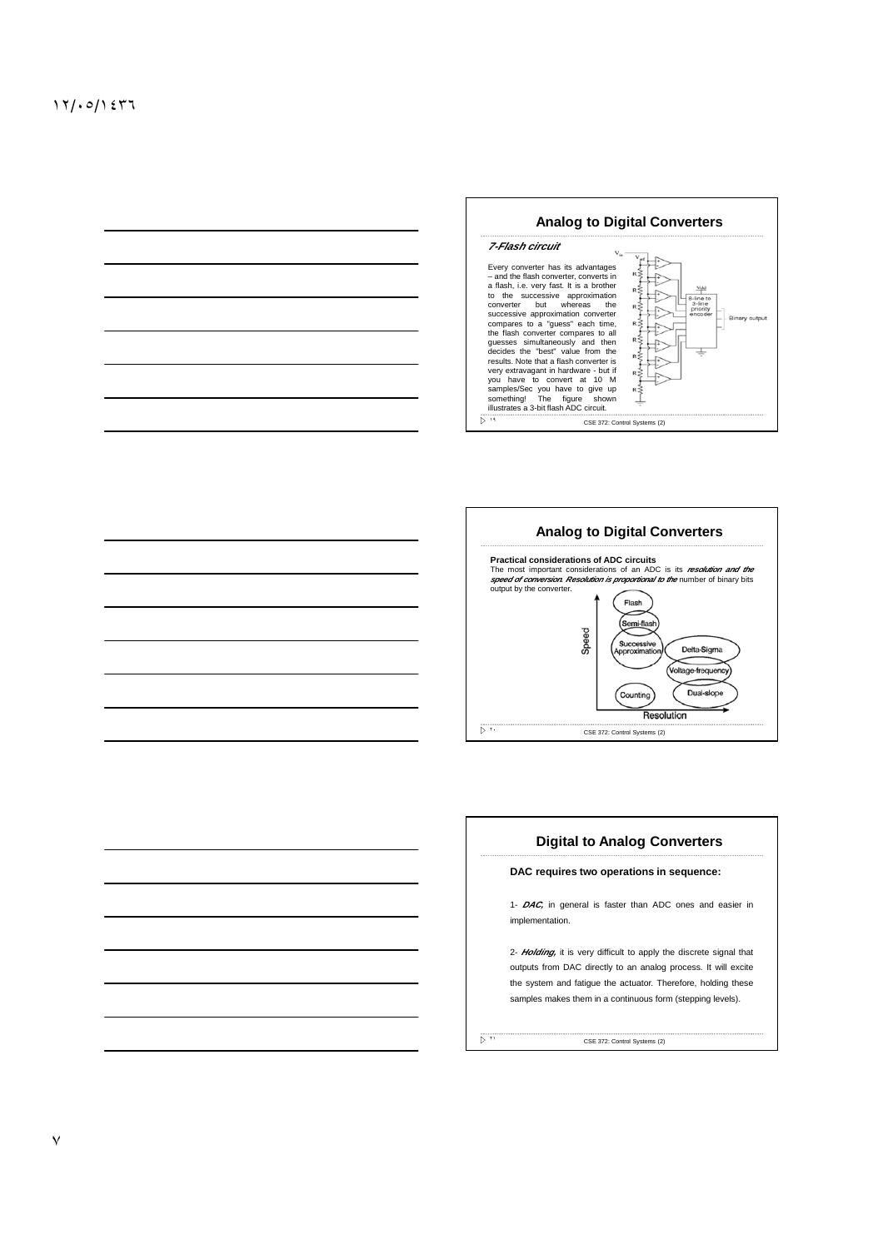





٧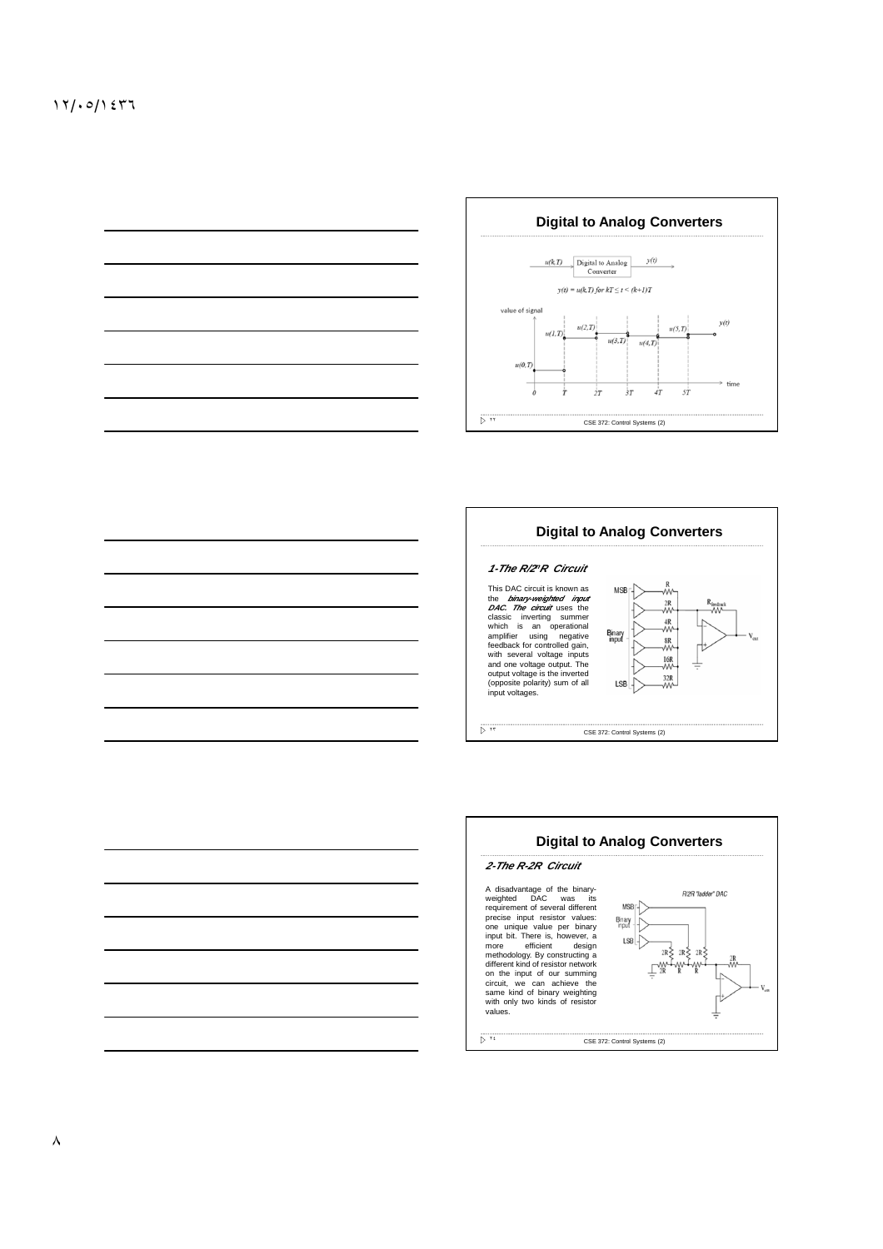



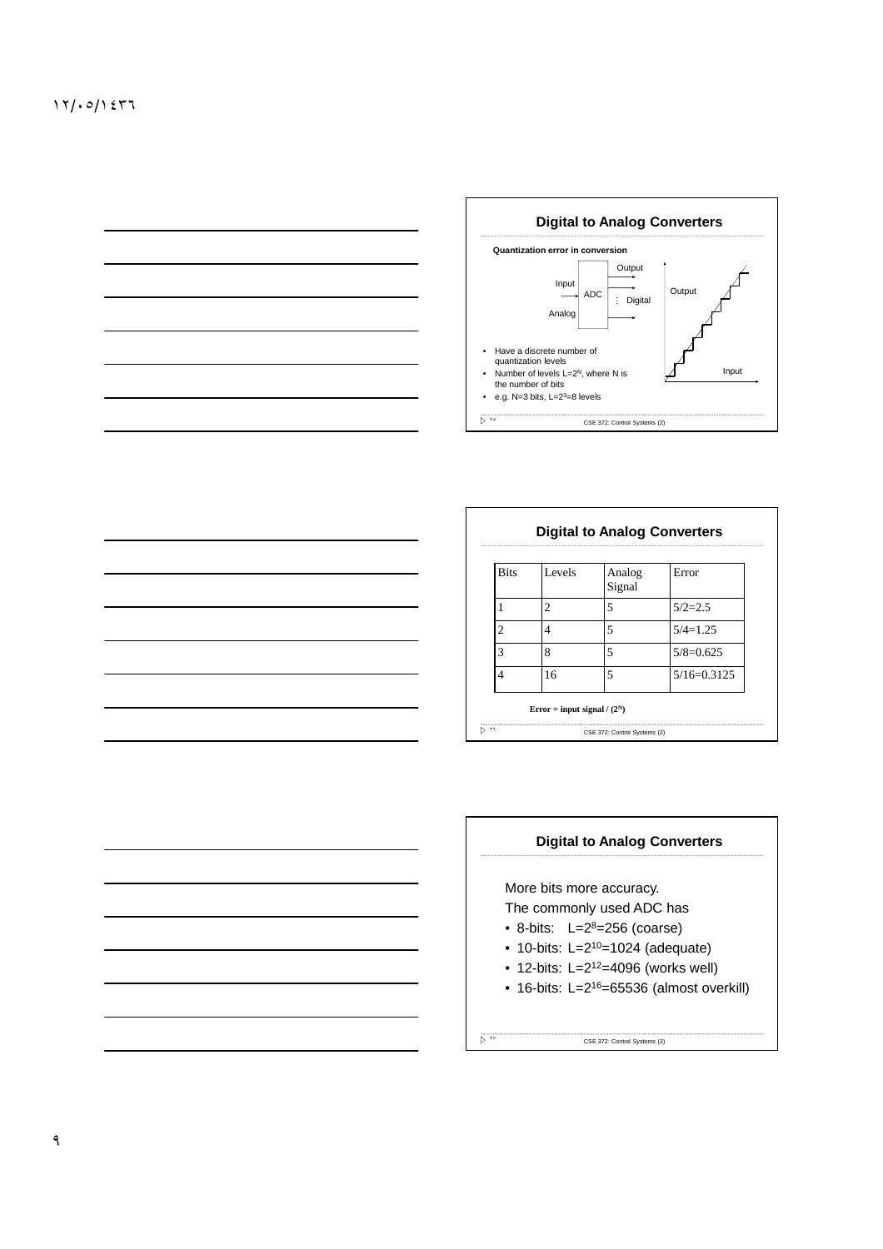

| <b>Bits</b>    | Levels | Analog<br>Signal | Error         |
|----------------|--------|------------------|---------------|
|                | 2      | 5                | $5/2=2.5$     |
| $\mathfrak{D}$ | 4      | 5                | $5/4=1.25$    |
| 3              | 8      | 5                | $5/8=0.625$   |
| 4              | 16     | 5                | $5/16=0.3125$ |

٦





More bits more accuracy. The commonly used ADC has

 $\overline{\triangleright}$  iv

- 8-bits:  $L=2^8=256$  (coarse)
- 10-bits:  $L=2^{10}=1024$  (adequate)
- 12-bits:  $L = 2^{12} = 4096$  (works well)
- 16-bits: L=2<sup>16</sup>=65536 (almost overkill)

CSE 372: Control Systems (2)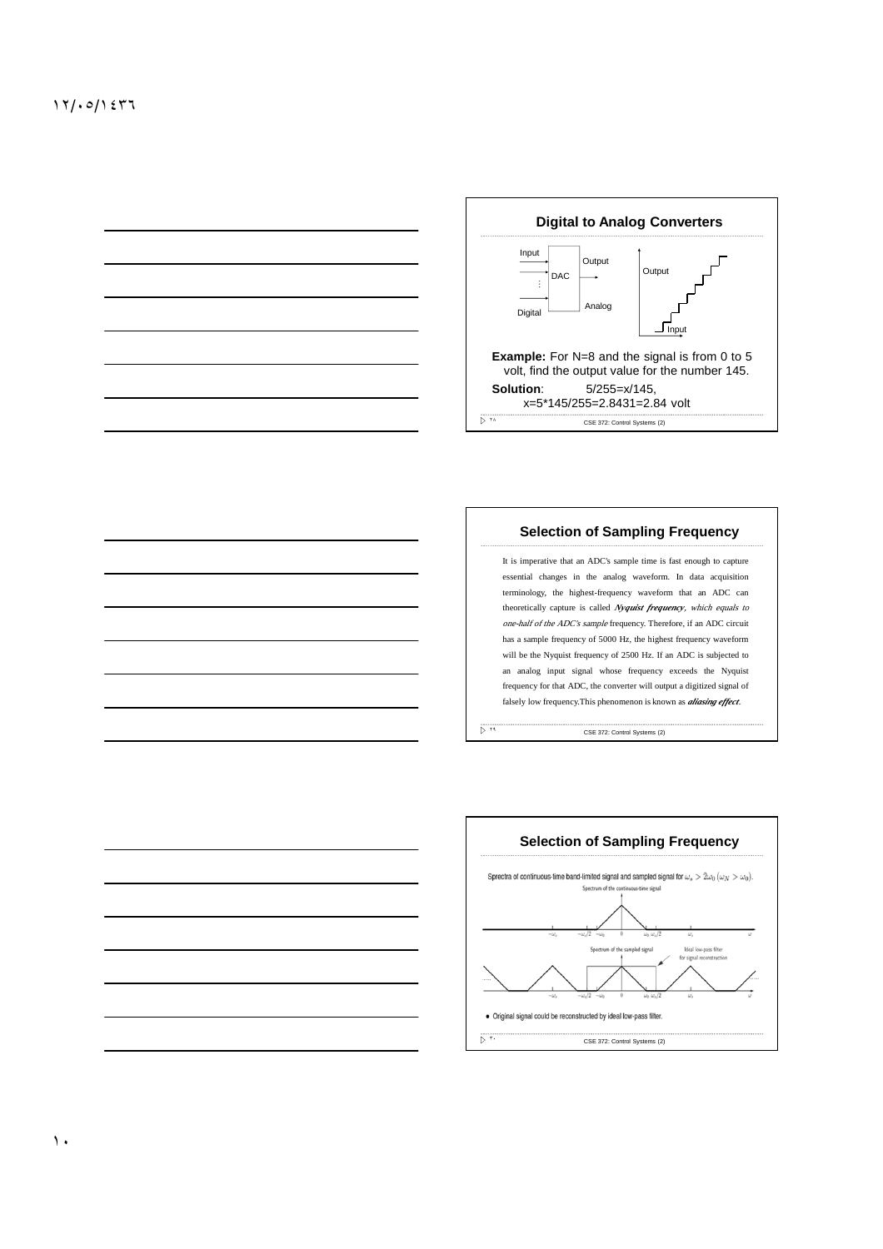

## **Selection of Sampling Frequency**

It is imperative that an ADC's sample time is fast enough to capture essential changes in the analog waveform. In data acquisition terminology, the highest-frequency waveform that an ADC can theoretically capture is called *Nyquist frequency*, which equals to one-half of the ADC's sample frequency. Therefore, if an ADC circuit has a sample frequency of 5000 Hz, the highest frequency waveform will be the Nyquist frequency of 2500 Hz. If an ADC is subjected to an analog input signal whose frequency exceeds the Nyquist frequency for that ADC, the converter will output a digitized signal of falsely low frequency.This phenomenon is known as *aliasing effect*.



 $\overline{p}$   $\overline{r}$ 



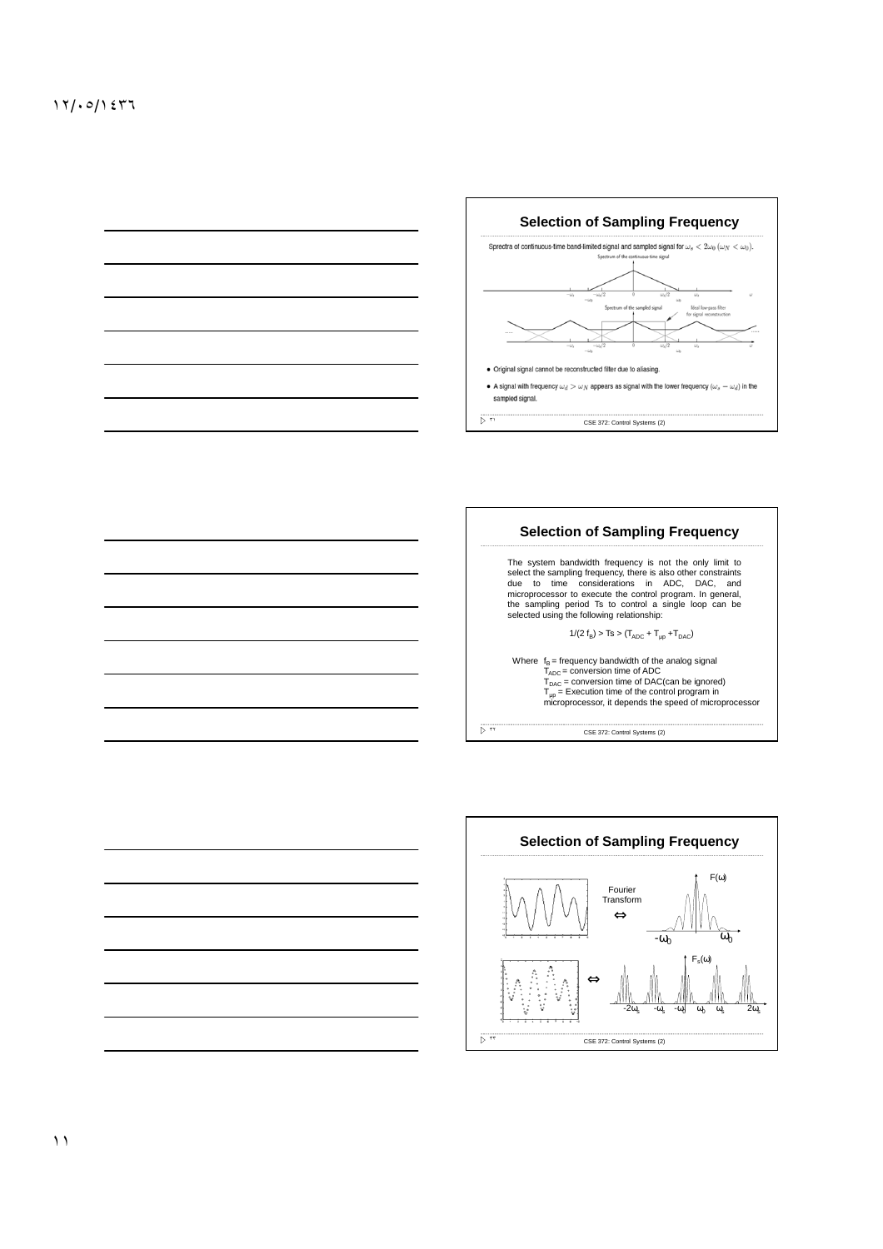



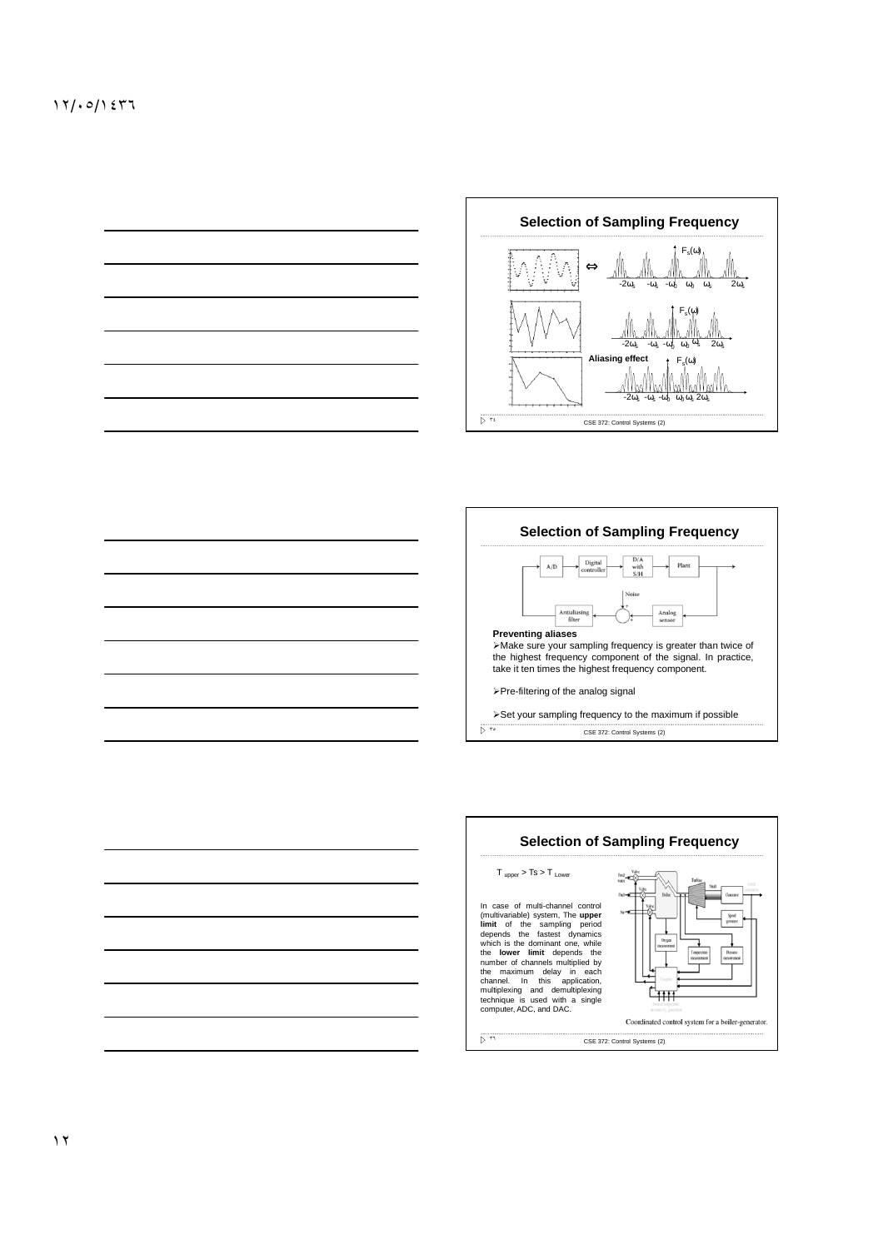